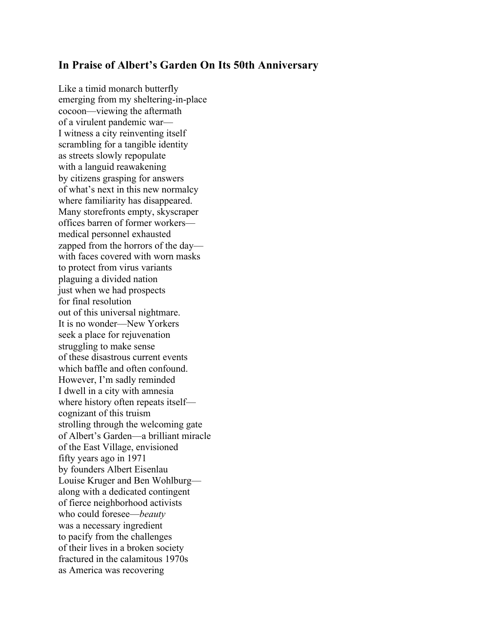## **In Praise of Albert's Garden On Its 50th Anniversary**

Like a timid monarch butterfly emerging from my sheltering-in-place cocoon—viewing the aftermath of a virulent pandemic war— I witness a city reinventing itself scrambling for a tangible identity as streets slowly repopulate with a languid reawakening by citizens grasping for answers of what's next in this new normalcy where familiarity has disappeared. Many storefronts empty, skyscraper offices barren of former workers medical personnel exhausted zapped from the horrors of the day with faces covered with worn masks to protect from virus variants plaguing a divided nation just when we had prospects for final resolution out of this universal nightmare. It is no wonder—New Yorkers seek a place for rejuvenation struggling to make sense of these disastrous current events which baffle and often confound. However, I'm sadly reminded I dwell in a city with amnesia where history often repeats itself cognizant of this truism strolling through the welcoming gate of Albert's Garden—a brilliant miracle of the East Village, envisioned fifty years ago in 1971 by founders Albert Eisenlau Louise Kruger and Ben Wohlburg along with a dedicated contingent of fierce neighborhood activists who could foresee—*beauty* was a necessary ingredient to pacify from the challenges of their lives in a broken society fractured in the calamitous 1970s as America was recovering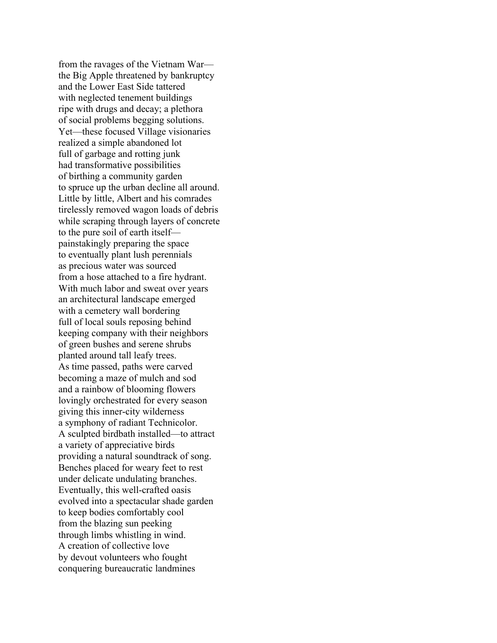from the ravages of the Vietnam War the Big Apple threatened by bankruptcy and the Lower East Side tattered with neglected tenement buildings ripe with drugs and decay; a plethora of social problems begging solutions. Yet—these focused Village visionaries realized a simple abandoned lot full of garbage and rotting junk had transformative possibilities of birthing a community garden to spruce up the urban decline all around. Little by little, Albert and his comrades tirelessly removed wagon loads of debris while scraping through layers of concrete to the pure soil of earth itself painstakingly preparing the space to eventually plant lush perennials as precious water was sourced from a hose attached to a fire hydrant. With much labor and sweat over years an architectural landscape emerged with a cemetery wall bordering full of local souls reposing behind keeping company with their neighbors of green bushes and serene shrubs planted around tall leafy trees. As time passed, paths were carved becoming a maze of mulch and sod and a rainbow of blooming flowers lovingly orchestrated for every season giving this inner-city wilderness a symphony of radiant Technicolor. A sculpted birdbath installed—to attract a variety of appreciative birds providing a natural soundtrack of song. Benches placed for weary feet to rest under delicate undulating branches. Eventually, this well-crafted oasis evolved into a spectacular shade garden to keep bodies comfortably cool from the blazing sun peeking through limbs whistling in wind. A creation of collective love by devout volunteers who fought conquering bureaucratic landmines